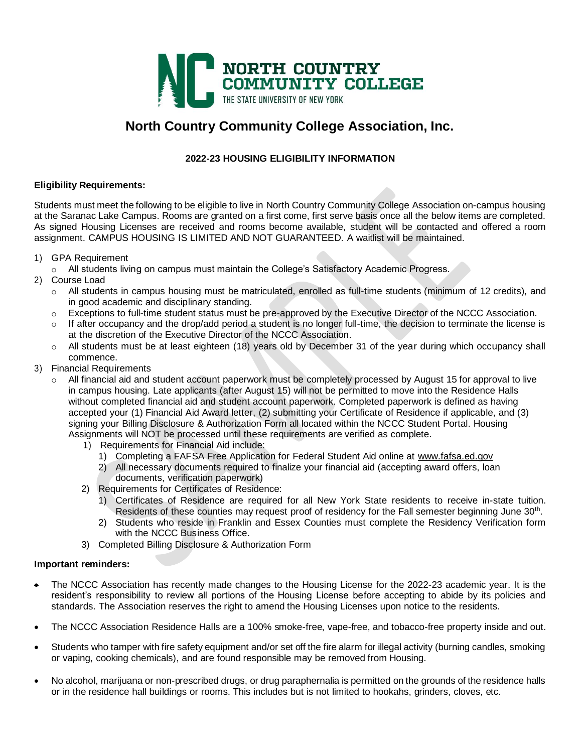

### **North Country Community College Association, Inc.**

#### **2022-23 HOUSING ELIGIBILITY INFORMATION**

#### **Eligibility Requirements:**

Students must meet the following to be eligible to live in North Country Community College Association on-campus housing at the Saranac Lake Campus. Rooms are granted on a first come, first serve basis once all the below items are completed. As signed Housing Licenses are received and rooms become available, student will be contacted and offered a room assignment. CAMPUS HOUSING IS LIMITED AND NOT GUARANTEED. A waitlist will be maintained.

- 1) GPA Requirement
	- o All students living on campus must maintain the College's Satisfactory Academic Progress.
- 2) Course Load
	- o All students in campus housing must be matriculated, enrolled as full-time students (minimum of 12 credits), and in good academic and disciplinary standing.
	- o Exceptions to full-time student status must be pre-approved by the Executive Director of the NCCC Association.
	- $\circ$  If after occupancy and the drop/add period a student is no longer full-time, the decision to terminate the license is at the discretion of the Executive Director of the NCCC Association.
	- o All students must be at least eighteen (18) years old by December 31 of the year during which occupancy shall commence.
- 3) Financial Requirements
	- o All financial aid and student account paperwork must be completely processed by August 15 for approval to live in campus housing. Late applicants (after August 15) will not be permitted to move into the Residence Halls without completed financial aid and student account paperwork. Completed paperwork is defined as having accepted your (1) Financial Aid Award letter, (2) submitting your Certificate of Residence if applicable, and (3) signing your Billing Disclosure & Authorization Form all located within the NCCC Student Portal. Housing Assignments will NOT be processed until these requirements are verified as complete.
		- 1) Requirements for Financial Aid include:
			- 1) Completing a FAFSA Free Application for Federal Student Aid online at [www.fafsa.ed.gov](https://nam10.safelinks.protection.outlook.com/?url=http%3A%2F%2Fwww.fafsa.ed.gov%2F&data=04%7C01%7Ckirland%40nccc.edu%7C5689e8a54529459cc65208d8f3748c67%7Cb922fc171e834e27b97cefcb3ce57ca0%7C0%7C0%7C637527029340692797%7CUnknown%7CTWFpbGZsb3d8eyJWIjoiMC4wLjAwMDAiLCJQIjoiV2luMzIiLCJBTiI6Ik1haWwiLCJXVCI6Mn0%3D%7C1000&sdata=1QrETUil9gQ9bUPC%2F4i0cKIAwtyYvw8E17aPITrohO4%3D&reserved=0)
			- 2) All necessary documents required to finalize your financial aid (accepting award offers, loan documents, verification paperwork)
		- 2) Requirements for Certificates of Residence:
			- 1) Certificates of Residence are required for all New York State residents to receive in-state tuition. Residents of these counties may request proof of residency for the Fall semester beginning June 30<sup>th</sup>.
			- 2) Students who reside in Franklin and Essex Counties must complete the Residency Verification form with the NCCC Business Office.
		- 3) Completed Billing Disclosure & Authorization Form

#### **Important reminders:**

- The NCCC Association has recently made changes to the Housing License for the 2022-23 academic year. It is the resident's responsibility to review all portions of the Housing License before accepting to abide by its policies and standards. The Association reserves the right to amend the Housing Licenses upon notice to the residents.
- The NCCC Association Residence Halls are a 100% smoke-free, vape-free, and tobacco-free property inside and out.
- Students who tamper with fire safety equipment and/or set off the fire alarm for illegal activity (burning candles, smoking or vaping, cooking chemicals), and are found responsible may be removed from Housing.
- No alcohol, marijuana or non-prescribed drugs, or drug paraphernalia is permitted on the grounds of the residence halls or in the residence hall buildings or rooms. This includes but is not limited to hookahs, grinders, cloves, etc.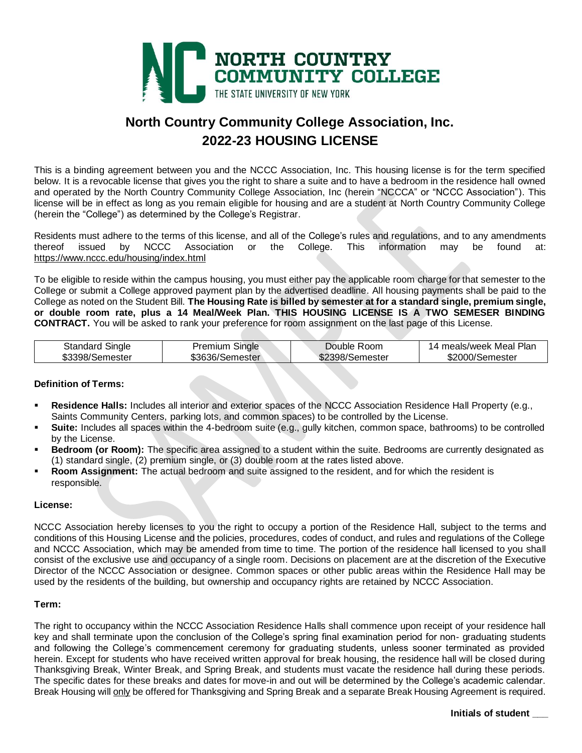

## **North Country Community College Association, Inc. 2022-23 HOUSING LICENSE**

This is a binding agreement between you and the NCCC Association, Inc. This housing license is for the term specified below. It is a revocable license that gives you the right to share a suite and to have a bedroom in the residence hall owned and operated by the North Country Community College Association, Inc (herein "NCCCA" or "NCCC Association"). This license will be in effect as long as you remain eligible for housing and are a student at North Country Community College (herein the "College") as determined by the College's Registrar.

Residents must adhere to the terms of this license, and all of the College's rules and regulations, and to any amendments<br>thereof issued by NCCC Association or the College. This information may be found at: thereof issued by NCCC Association or the College. This information may be found at: <https://www.nccc.edu/housing/index.html>

To be eligible to reside within the campus housing, you must either pay the applicable room charge for that semester to the College or submit a College approved payment plan by the advertised deadline. All housing payments shall be paid to the College as noted on the Student Bill. **The Housing Rate is billed by semester at for a standard single, premium single, or double room rate, plus a 14 Meal/Week Plan. THIS HOUSING LICENSE IS A TWO SEMESER BINDING CONTRACT.** You will be asked to rank your preference for room assignment on the last page of this License.

| <b>Standard Single</b> | Premium Single  | Double Room     | 14 meals/week Meal Plan |
|------------------------|-----------------|-----------------|-------------------------|
| \$3398/Semester        | \$3636/Semester | \$2398/Semester | \$2000/Semester         |

#### **Definition of Terms:**

- **Residence Halls:** Includes all interior and exterior spaces of the NCCC Association Residence Hall Property (e.g., Saints Community Centers, parking lots, and common spaces) to be controlled by the License.
- Suite: Includes all spaces within the 4-bedroom suite (e.g., gully kitchen, common space, bathrooms) to be controlled by the License.
- **Bedroom (or Room):** The specific area assigned to a student within the suite. Bedrooms are currently designated as (1) standard single, (2) premium single, or (3) double room at the rates listed above.
- **Room Assignment:** The actual bedroom and suite assigned to the resident, and for which the resident is responsible.

#### **License:**

NCCC Association hereby licenses to you the right to occupy a portion of the Residence Hall, subject to the terms and conditions of this Housing License and the policies, procedures, codes of conduct, and rules and regulations of the College and NCCC Association, which may be amended from time to time. The portion of the residence hall licensed to you shall consist of the exclusive use and occupancy of a single room. Decisions on placement are at the discretion of the Executive Director of the NCCC Association or designee. Common spaces or other public areas within the Residence Hall may be used by the residents of the building, but ownership and occupancy rights are retained by NCCC Association.

#### **Term:**

The right to occupancy within the NCCC Association Residence Halls shall commence upon receipt of your residence hall key and shall terminate upon the conclusion of the College's spring final examination period for non- graduating students and following the College's commencement ceremony for graduating students, unless sooner terminated as provided herein. Except for students who have received written approval for break housing, the residence hall will be closed during Thanksgiving Break, Winter Break, and Spring Break, and students must vacate the residence hall during these periods. The specific dates for these breaks and dates for move-in and out will be determined by the College's academic calendar. Break Housing will only be offered for Thanksgiving and Spring Break and a separate Break Housing Agreement is required.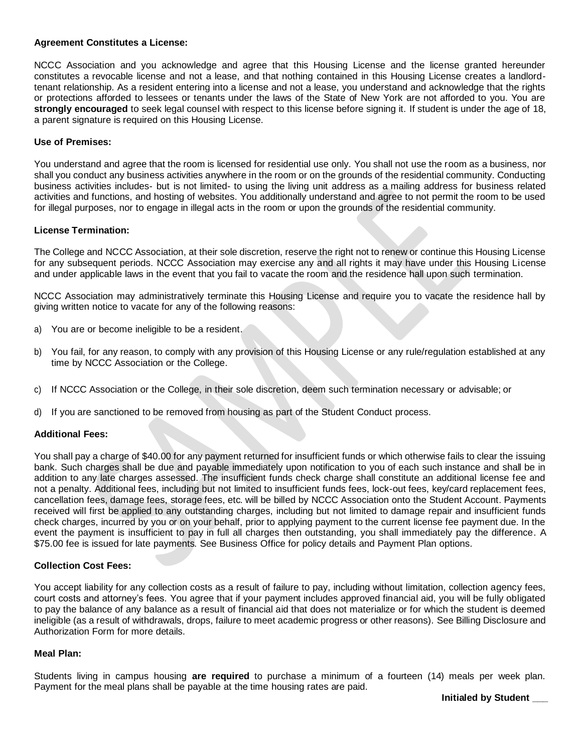#### **Agreement Constitutes a License:**

NCCC Association and you acknowledge and agree that this Housing License and the license granted hereunder constitutes a revocable license and not a lease, and that nothing contained in this Housing License creates a landlordtenant relationship. As a resident entering into a license and not a lease, you understand and acknowledge that the rights or protections afforded to lessees or tenants under the laws of the State of New York are not afforded to you. You are **strongly encouraged** to seek legal counsel with respect to this license before signing it. If student is under the age of 18, a parent signature is required on this Housing License.

#### **Use of Premises:**

You understand and agree that the room is licensed for residential use only. You shall not use the room as a business, nor shall you conduct any business activities anywhere in the room or on the grounds of the residential community. Conducting business activities includes- but is not limited- to using the living unit address as a mailing address for business related activities and functions, and hosting of websites. You additionally understand and agree to not permit the room to be used for illegal purposes, nor to engage in illegal acts in the room or upon the grounds of the residential community.

#### **License Termination:**

The College and NCCC Association, at their sole discretion, reserve the right not to renew or continue this Housing License for any subsequent periods. NCCC Association may exercise any and all rights it may have under this Housing License and under applicable laws in the event that you fail to vacate the room and the residence hall upon such termination.

NCCC Association may administratively terminate this Housing License and require you to vacate the residence hall by giving written notice to vacate for any of the following reasons:

- a) You are or become ineligible to be a resident.
- b) You fail, for any reason, to comply with any provision of this Housing License or any rule/regulation established at any time by NCCC Association or the College.
- c) If NCCC Association or the College, in their sole discretion, deem such termination necessary or advisable; or
- d) If you are sanctioned to be removed from housing as part of the Student Conduct process.

#### **Additional Fees:**

You shall pay a charge of \$40.00 for any payment returned for insufficient funds or which otherwise fails to clear the issuing bank. Such charges shall be due and payable immediately upon notification to you of each such instance and shall be in addition to any late charges assessed. The insufficient funds check charge shall constitute an additional license fee and not a penalty. Additional fees, including but not limited to insufficient funds fees, lock-out fees, key/card replacement fees, cancellation fees, damage fees, storage fees, etc. will be billed by NCCC Association onto the Student Account. Payments received will first be applied to any outstanding charges, including but not limited to damage repair and insufficient funds check charges, incurred by you or on your behalf, prior to applying payment to the current license fee payment due. In the event the payment is insufficient to pay in full all charges then outstanding, you shall immediately pay the difference. A \$75.00 fee is issued for late payments. See Business Office for policy details and Payment Plan options.

#### **Collection Cost Fees:**

You accept liability for any collection costs as a result of failure to pay, including without limitation, collection agency fees, court costs and attorney's fees. You agree that if your payment includes approved financial aid, you will be fully obligated to pay the balance of any balance as a result of financial aid that does not materialize or for which the student is deemed ineligible (as a result of withdrawals, drops, failure to meet academic progress or other reasons). See Billing Disclosure and Authorization Form for more details.

#### **Meal Plan:**

Students living in campus housing **are required** to purchase a minimum of a fourteen (14) meals per week plan. Payment for the meal plans shall be payable at the time housing rates are paid.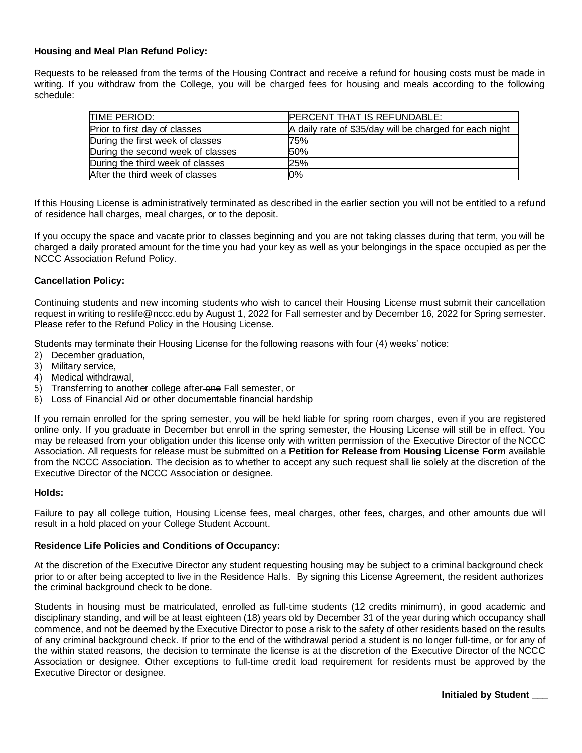#### **Housing and Meal Plan Refund Policy:**

Requests to be released from the terms of the Housing Contract and receive a refund for housing costs must be made in writing. If you withdraw from the College, you will be charged fees for housing and meals according to the following schedule:

| TIME PERIOD:                      | PERCENT THAT IS REFUNDABLE:                             |  |  |
|-----------------------------------|---------------------------------------------------------|--|--|
| Prior to first day of classes     | A daily rate of \$35/day will be charged for each night |  |  |
| During the first week of classes  | 75%                                                     |  |  |
| During the second week of classes | 50%                                                     |  |  |
| During the third week of classes  | 25%                                                     |  |  |
| After the third week of classes   | 0%                                                      |  |  |

If this Housing License is administratively terminated as described in the earlier section you will not be entitled to a refund of residence hall charges, meal charges, or to the deposit.

If you occupy the space and vacate prior to classes beginning and you are not taking classes during that term, you will be charged a daily prorated amount for the time you had your key as well as your belongings in the space occupied as per the NCCC Association Refund Policy.

#### **Cancellation Policy:**

Continuing students and new incoming students who wish to cancel their Housing License must submit their cancellation request in writing to [reslife@nccc.edu](mailto:reslife@nccc.edu) by August 1, 2022 for Fall semester and by December 16, 2022 for Spring semester. Please refer to the Refund Policy in the Housing License.

Students may terminate their Housing License for the following reasons with four (4) weeks' notice:

- 2) December graduation,
- 3) Military service,
- 4) Medical withdrawal,
- 5) Transferring to another college after-one Fall semester, or
- 6) Loss of Financial Aid or other documentable financial hardship

If you remain enrolled for the spring semester, you will be held liable for spring room charges, even if you are registered online only. If you graduate in December but enroll in the spring semester, the Housing License will still be in effect. You may be released from your obligation under this license only with written permission of the Executive Director of the NCCC Association. All requests for release must be submitted on a **Petition for Release from Housing License Form** available from the NCCC Association. The decision as to whether to accept any such request shall lie solely at the discretion of the Executive Director of the NCCC Association or designee.

#### **Holds:**

Failure to pay all college tuition, Housing License fees, meal charges, other fees, charges, and other amounts due will result in a hold placed on your College Student Account.

#### **Residence Life Policies and Conditions of Occupancy:**

At the discretion of the Executive Director any student requesting housing may be subject to a criminal background check prior to or after being accepted to live in the Residence Halls. By signing this License Agreement, the resident authorizes the criminal background check to be done.

Students in housing must be matriculated, enrolled as full-time students (12 credits minimum), in good academic and disciplinary standing, and will be at least eighteen (18) years old by December 31 of the year during which occupancy shall commence, and not be deemed by the Executive Director to pose a risk to the safety of other residents based on the results of any criminal background check. If prior to the end of the withdrawal period a student is no longer full-time, or for any of the within stated reasons, the decision to terminate the license is at the discretion of the Executive Director of the NCCC Association or designee. Other exceptions to full-time credit load requirement for residents must be approved by the Executive Director or designee.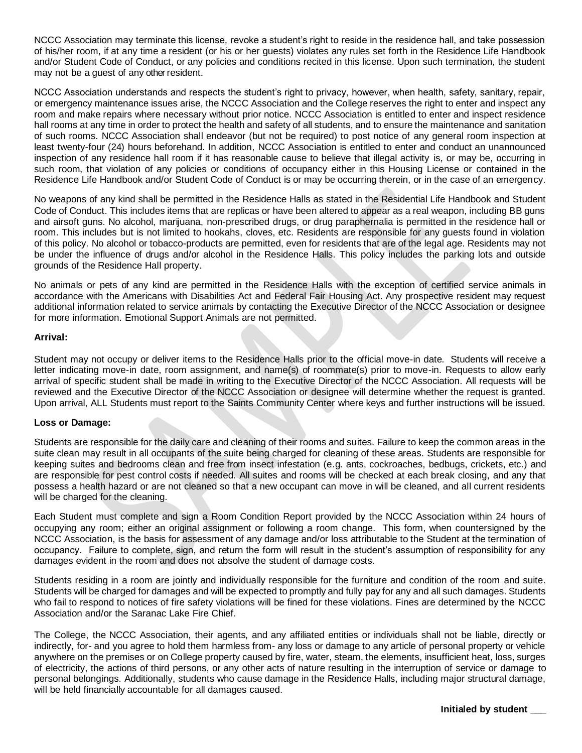NCCC Association may terminate this license, revoke a student's right to reside in the residence hall, and take possession of his/her room, if at any time a resident (or his or her guests) violates any rules set forth in the Residence Life Handbook and/or Student Code of Conduct, or any policies and conditions recited in this license. Upon such termination, the student may not be a guest of any other resident.

NCCC Association understands and respects the student's right to privacy, however, when health, safety, sanitary, repair, or emergency maintenance issues arise, the NCCC Association and the College reserves the right to enter and inspect any room and make repairs where necessary without prior notice. NCCC Association is entitled to enter and inspect residence hall rooms at any time in order to protect the health and safety of all students, and to ensure the maintenance and sanitation of such rooms. NCCC Association shall endeavor (but not be required) to post notice of any general room inspection at least twenty-four (24) hours beforehand. In addition, NCCC Association is entitled to enter and conduct an unannounced inspection of any residence hall room if it has reasonable cause to believe that illegal activity is, or may be, occurring in such room, that violation of any policies or conditions of occupancy either in this Housing License or contained in the Residence Life Handbook and/or Student Code of Conduct is or may be occurring therein, or in the case of an emergency.

No weapons of any kind shall be permitted in the Residence Halls as stated in the Residential Life Handbook and Student Code of Conduct. This includes items that are replicas or have been altered to appear as a real weapon, including BB guns and airsoft guns. No alcohol, marijuana, non-prescribed drugs, or drug paraphernalia is permitted in the residence hall or room. This includes but is not limited to hookahs, cloves, etc. Residents are responsible for any guests found in violation of this policy. No alcohol or tobacco-products are permitted, even for residents that are of the legal age. Residents may not be under the influence of drugs and/or alcohol in the Residence Halls. This policy includes the parking lots and outside grounds of the Residence Hall property.

No animals or pets of any kind are permitted in the Residence Halls with the exception of certified service animals in accordance with the Americans with Disabilities Act and Federal Fair Housing Act. Any prospective resident may request additional information related to service animals by contacting the Executive Director of the NCCC Association or designee for more information. Emotional Support Animals are not permitted.

#### **Arrival:**

Student may not occupy or deliver items to the Residence Halls prior to the official move-in date. Students will receive a letter indicating move-in date, room assignment, and name(s) of roommate(s) prior to move-in. Requests to allow early arrival of specific student shall be made in writing to the Executive Director of the NCCC Association. All requests will be reviewed and the Executive Director of the NCCC Association or designee will determine whether the request is granted. Upon arrival, ALL Students must report to the Saints Community Center where keys and further instructions will be issued.

#### **Loss or Damage:**

Students are responsible for the daily care and cleaning of their rooms and suites. Failure to keep the common areas in the suite clean may result in all occupants of the suite being charged for cleaning of these areas. Students are responsible for keeping suites and bedrooms clean and free from insect infestation (e.g. ants, cockroaches, bedbugs, crickets, etc.) and are responsible for pest control costs if needed. All suites and rooms will be checked at each break closing, and any that possess a health hazard or are not cleaned so that a new occupant can move in will be cleaned, and all current residents will be charged for the cleaning.

Each Student must complete and sign a Room Condition Report provided by the NCCC Association within 24 hours of occupying any room; either an original assignment or following a room change. This form, when countersigned by the NCCC Association, is the basis for assessment of any damage and/or loss attributable to the Student at the termination of occupancy. Failure to complete, sign, and return the form will result in the student's assumption of responsibility for any damages evident in the room and does not absolve the student of damage costs.

Students residing in a room are jointly and individually responsible for the furniture and condition of the room and suite. Students will be charged for damages and will be expected to promptly and fully pay for any and all such damages. Students who fail to respond to notices of fire safety violations will be fined for these violations. Fines are determined by the NCCC Association and/or the Saranac Lake Fire Chief.

The College, the NCCC Association, their agents, and any affiliated entities or individuals shall not be liable, directly or indirectly, for- and you agree to hold them harmless from- any loss or damage to any article of personal property or vehicle anywhere on the premises or on College property caused by fire, water, steam, the elements, insufficient heat, loss, surges of electricity, the actions of third persons, or any other acts of nature resulting in the interruption of service or damage to personal belongings. Additionally, students who cause damage in the Residence Halls, including major structural damage, will be held financially accountable for all damages caused.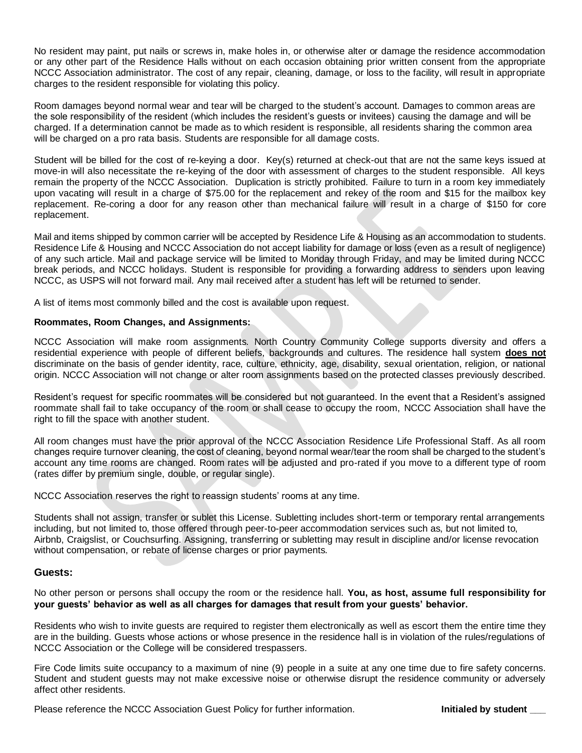No resident may paint, put nails or screws in, make holes in, or otherwise alter or damage the residence accommodation or any other part of the Residence Halls without on each occasion obtaining prior written consent from the appropriate NCCC Association administrator. The cost of any repair, cleaning, damage, or loss to the facility, will result in appropriate charges to the resident responsible for violating this policy.

Room damages beyond normal wear and tear will be charged to the student's account. Damages to common areas are the sole responsibility of the resident (which includes the resident's guests or invitees) causing the damage and will be charged. If a determination cannot be made as to which resident is responsible, all residents sharing the common area will be charged on a pro rata basis. Students are responsible for all damage costs.

Student will be billed for the cost of re-keying a door. Key(s) returned at check-out that are not the same keys issued at move-in will also necessitate the re-keying of the door with assessment of charges to the student responsible. All keys remain the property of the NCCC Association. Duplication is strictly prohibited. Failure to turn in a room key immediately upon vacating will result in a charge of \$75.00 for the replacement and rekey of the room and \$15 for the mailbox key replacement. Re-coring a door for any reason other than mechanical failure will result in a charge of \$150 for core replacement.

Mail and items shipped by common carrier will be accepted by Residence Life & Housing as an accommodation to students. Residence Life & Housing and NCCC Association do not accept liability for damage or loss (even as a result of negligence) of any such article. Mail and package service will be limited to Monday through Friday, and may be limited during NCCC break periods, and NCCC holidays. Student is responsible for providing a forwarding address to senders upon leaving NCCC, as USPS will not forward mail. Any mail received after a student has left will be returned to sender.

A list of items most commonly billed and the cost is available upon request.

#### **Roommates, Room Changes, and Assignments:**

NCCC Association will make room assignments. North Country Community College supports diversity and offers a residential experience with people of different beliefs, backgrounds and cultures. The residence hall system **does not** discriminate on the basis of gender identity, race, culture, ethnicity, age, disability, sexual orientation, religion, or national origin. NCCC Association will not change or alter room assignments based on the protected classes previously described.

Resident's request for specific roommates will be considered but not guaranteed. In the event that a Resident's assigned roommate shall fail to take occupancy of the room or shall cease to occupy the room, NCCC Association shall have the right to fill the space with another student.

All room changes must have the prior approval of the NCCC Association Residence Life Professional Staff. As all room changes require turnover cleaning, the cost of cleaning, beyond normal wear/tear the room shall be charged to the student's account any time rooms are changed. Room rates will be adjusted and pro-rated if you move to a different type of room (rates differ by premium single, double, or regular single).

NCCC Association reserves the right to reassign students' rooms at any time.

Students shall not assign, transfer or sublet this License. Subletting includes short-term or temporary rental arrangements including, but not limited to, those offered through peer-to-peer accommodation services such as, but not limited to, Airbnb, Craigslist, or Couchsurfing. Assigning, transferring or subletting may result in discipline and/or license revocation without compensation, or rebate of license charges or prior payments.

#### **Guests:**

No other person or persons shall occupy the room or the residence hall. **You, as host, assume full responsibility for your guests' behavior as well as all charges for damages that result from your guests' behavior.**

Residents who wish to invite guests are required to register them electronically as well as escort them the entire time they are in the building. Guests whose actions or whose presence in the residence hall is in violation of the rules/regulations of NCCC Association or the College will be considered trespassers.

Fire Code limits suite occupancy to a maximum of nine (9) people in a suite at any one time due to fire safety concerns. Student and student guests may not make excessive noise or otherwise disrupt the residence community or adversely affect other residents.

Please reference the NCCC Association Guest Policy for further information. **Initialed by student**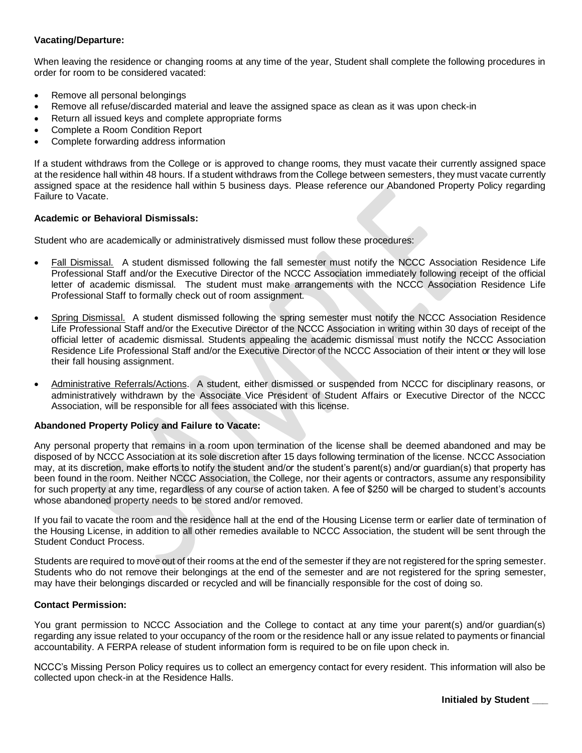#### **Vacating/Departure:**

When leaving the residence or changing rooms at any time of the year, Student shall complete the following procedures in order for room to be considered vacated:

- Remove all personal belongings
- Remove all refuse/discarded material and leave the assigned space as clean as it was upon check-in
- Return all issued keys and complete appropriate forms
- Complete a Room Condition Report
- Complete forwarding address information

If a student withdraws from the College or is approved to change rooms, they must vacate their currently assigned space at the residence hall within 48 hours. If a student withdraws from the College between semesters, they must vacate currently assigned space at the residence hall within 5 business days. Please reference our Abandoned Property Policy regarding Failure to Vacate.

#### **Academic or Behavioral Dismissals:**

Student who are academically or administratively dismissed must follow these procedures:

- Fall Dismissal. A student dismissed following the fall semester must notify the NCCC Association Residence Life Professional Staff and/or the Executive Director of the NCCC Association immediately following receipt of the official letter of academic dismissal. The student must make arrangements with the NCCC Association Residence Life Professional Staff to formally check out of room assignment.
- Spring Dismissal. A student dismissed following the spring semester must notify the NCCC Association Residence Life Professional Staff and/or the Executive Director of the NCCC Association in writing within 30 days of receipt of the official letter of academic dismissal. Students appealing the academic dismissal must notify the NCCC Association Residence Life Professional Staff and/or the Executive Director of the NCCC Association of their intent or they will lose their fall housing assignment.
- Administrative Referrals/Actions. A student, either dismissed or suspended from NCCC for disciplinary reasons, or administratively withdrawn by the Associate Vice President of Student Affairs or Executive Director of the NCCC Association, will be responsible for all fees associated with this license.

#### **Abandoned Property Policy and Failure to Vacate:**

Any personal property that remains in a room upon termination of the license shall be deemed abandoned and may be disposed of by NCCC Association at its sole discretion after 15 days following termination of the license. NCCC Association may, at its discretion, make efforts to notify the student and/or the student's parent(s) and/or guardian(s) that property has been found in the room. Neither NCCC Association, the College, nor their agents or contractors, assume any responsibility for such property at any time, regardless of any course of action taken. A fee of \$250 will be charged to student's accounts whose abandoned property needs to be stored and/or removed.

If you fail to vacate the room and the residence hall at the end of the Housing License term or earlier date of termination of the Housing License, in addition to all other remedies available to NCCC Association, the student will be sent through the Student Conduct Process.

Students are required to move out of their rooms at the end of the semester if they are not registered for the spring semester. Students who do not remove their belongings at the end of the semester and are not registered for the spring semester, may have their belongings discarded or recycled and will be financially responsible for the cost of doing so.

#### **Contact Permission:**

You grant permission to NCCC Association and the College to contact at any time your parent(s) and/or guardian(s) regarding any issue related to your occupancy of the room or the residence hall or any issue related to payments or financial accountability. A FERPA release of student information form is required to be on file upon check in.

NCCC's Missing Person Policy requires us to collect an emergency contact for every resident. This information will also be collected upon check-in at the Residence Halls.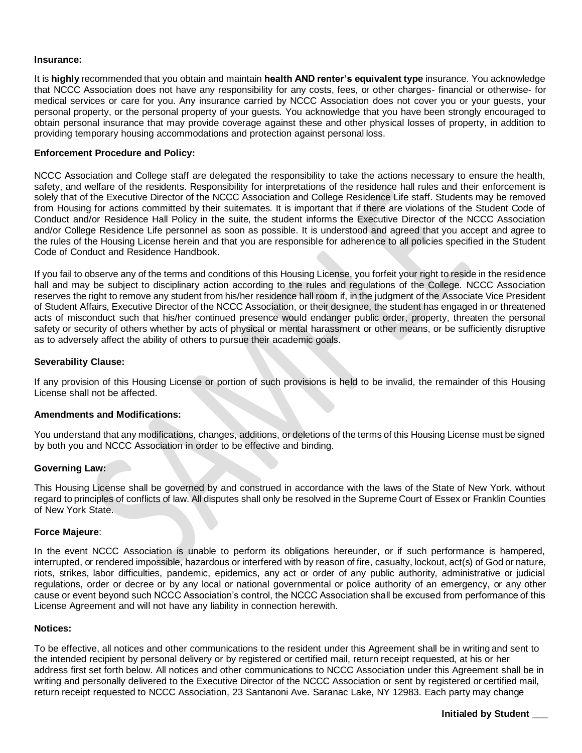#### **Insurance:**

It is **highly** recommended that you obtain and maintain **health AND renter's equivalent type** insurance. You acknowledge that NCCC Association does not have any responsibility for any costs, fees, or other charges- financial or otherwise- for medical services or care for you. Any insurance carried by NCCC Association does not cover you or your guests, your personal property, or the personal property of your guests. You acknowledge that you have been strongly encouraged to obtain personal insurance that may provide coverage against these and other physical losses of property, in addition to providing temporary housing accommodations and protection against personal loss.

#### **Enforcement Procedure and Policy:**

NCCC Association and College staff are delegated the responsibility to take the actions necessary to ensure the health, safety, and welfare of the residents. Responsibility for interpretations of the residence hall rules and their enforcement is solely that of the Executive Director of the NCCC Association and College Residence Life staff. Students may be removed from Housing for actions committed by their suitemates. It is important that if there are violations of the Student Code of Conduct and/or Residence Hall Policy in the suite, the student informs the Executive Director of the NCCC Association and/or College Residence Life personnel as soon as possible. It is understood and agreed that you accept and agree to the rules of the Housing License herein and that you are responsible for adherence to all policies specified in the Student Code of Conduct and Residence Handbook.

If you fail to observe any of the terms and conditions of this Housing License, you forfeit your right to reside in the residence hall and may be subject to disciplinary action according to the rules and regulations of the College. NCCC Association reserves the right to remove any student from his/her residence hall room if, in the judgment of the Associate Vice President of Student Affairs, Executive Director of the NCCC Association, or their designee, the student has engaged in or threatened acts of misconduct such that his/her continued presence would endanger public order, property, threaten the personal safety or security of others whether by acts of physical or mental harassment or other means, or be sufficiently disruptive as to adversely affect the ability of others to pursue their academic goals.

#### **Severability Clause:**

If any provision of this Housing License or portion of such provisions is held to be invalid, the remainder of this Housing License shall not be affected.

#### **Amendments and Modifications:**

You understand that any modifications, changes, additions, or deletions of the terms of this Housing License must be signed by both you and NCCC Association in order to be effective and binding.

#### **Governing Law:**

This Housing License shall be governed by and construed in accordance with the laws of the State of New York, without regard to principles of conflicts of law. All disputes shall only be resolved in the Supreme Court of Essex or Franklin Counties of New York State.

#### **Force Majeure**:

In the event NCCC Association is unable to perform its obligations hereunder, or if such performance is hampered, interrupted, or rendered impossible, hazardous or interfered with by reason of fire, casualty, lockout, act(s) of God or nature, riots, strikes, labor difficulties, pandemic, epidemics, any act or order of any public authority, administrative or judicial regulations, order or decree or by any local or national governmental or police authority of an emergency, or any other cause or event beyond such NCCC Association's control, the NCCC Association shall be excused from performance of this License Agreement and will not have any liability in connection herewith.

#### **Notices:**

To be effective, all notices and other communications to the resident under this Agreement shall be in writingand sent to the intended recipient by personal delivery or by registered or certified mail, return receipt requested, at his or her address first set forth below. All notices and other communications to NCCC Association under this Agreement shall be in writing and personally delivered to the Executive Director of the NCCC Association or sent by registered or certified mail, return receipt requested to NCCC Association, 23 Santanoni Ave. Saranac Lake, NY 12983. Each party may change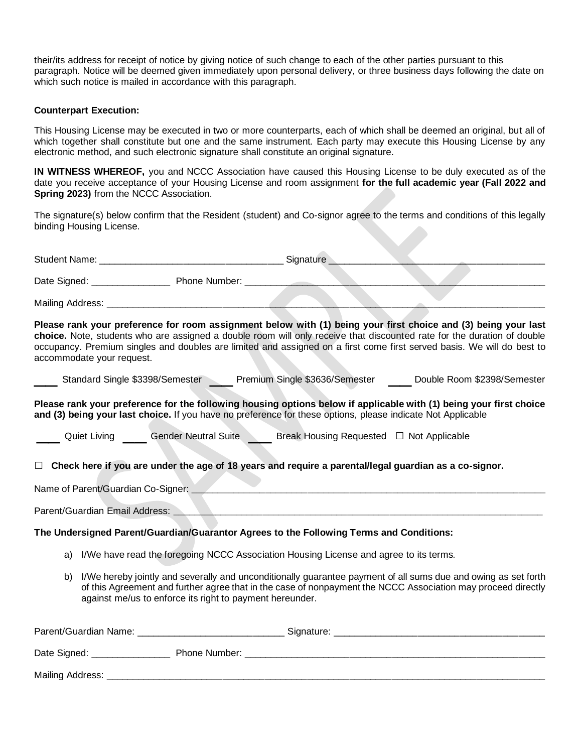their/its address for receipt of notice by giving notice of such change to each of the other parties pursuant to this paragraph. Notice will be deemed given immediately upon personal delivery, or three business days following the date on which such notice is mailed in accordance with this paragraph.

#### **Counterpart Execution:**

This Housing License may be executed in two or more counterparts, each of which shall be deemed an original, but all of which together shall constitute but one and the same instrument. Each party may execute this Housing License by any electronic method, and such electronic signature shall constitute an original signature.

**IN WITNESS WHEREOF,** you and NCCC Association have caused this Housing License to be duly executed as of the date you receive acceptance of your Housing License and room assignment **for the full academic year (Fall 2022 and Spring 2023)** from the NCCC Association.

The signature(s) below confirm that the Resident (student) and Co-signor agree to the terms and conditions of this legally binding Housing License.

|                  | accommodate your request.      |                                                                                                                       | Please rank your preference for room assignment below with (1) being your first choice and (3) being your last<br>choice. Note, students who are assigned a double room will only receive that discounted rate for the duration of double<br>occupancy. Premium singles and doubles are limited and assigned on a first come first served basis. We will do best to |
|------------------|--------------------------------|-----------------------------------------------------------------------------------------------------------------------|---------------------------------------------------------------------------------------------------------------------------------------------------------------------------------------------------------------------------------------------------------------------------------------------------------------------------------------------------------------------|
|                  |                                |                                                                                                                       | Standard Single \$3398/Semester Comparent Premium Single \$3636/Semester Comparent Double Room \$2398/Semester                                                                                                                                                                                                                                                      |
|                  |                                | and (3) being your last choice. If you have no preference for these options, please indicate Not Applicable           | Please rank your preference for the following housing options below if applicable with (1) being your first choice                                                                                                                                                                                                                                                  |
|                  |                                | <b>Quiet Living ____ Gender Neutral Suite ____ Break Housing Requested □ Not Applicable</b>                           |                                                                                                                                                                                                                                                                                                                                                                     |
|                  |                                | $\Box$ Check here if you are under the age of 18 years and require a parental/legal guardian as a co-signor.          |                                                                                                                                                                                                                                                                                                                                                                     |
|                  | Parent/Guardian Email Address: | <u> Andreas Andreas (Andreas Andreas Andreas Andreas Andreas Andreas Andreas Andreas Andreas Andreas Andreas Andr</u> |                                                                                                                                                                                                                                                                                                                                                                     |
|                  |                                | The Undersigned Parent/Guardian/Guarantor Agrees to the Following Terms and Conditions:                               |                                                                                                                                                                                                                                                                                                                                                                     |
|                  |                                | a) I/We have read the foregoing NCCC Association Housing License and agree to its terms.                              |                                                                                                                                                                                                                                                                                                                                                                     |
| b)               |                                | against me/us to enforce its right to payment hereunder.                                                              | I/We hereby jointly and severally and unconditionally guarantee payment of all sums due and owing as set forth<br>of this Agreement and further agree that in the case of nonpayment the NCCC Association may proceed directly                                                                                                                                      |
|                  |                                |                                                                                                                       |                                                                                                                                                                                                                                                                                                                                                                     |
|                  |                                |                                                                                                                       |                                                                                                                                                                                                                                                                                                                                                                     |
| Mailing Address: |                                |                                                                                                                       |                                                                                                                                                                                                                                                                                                                                                                     |